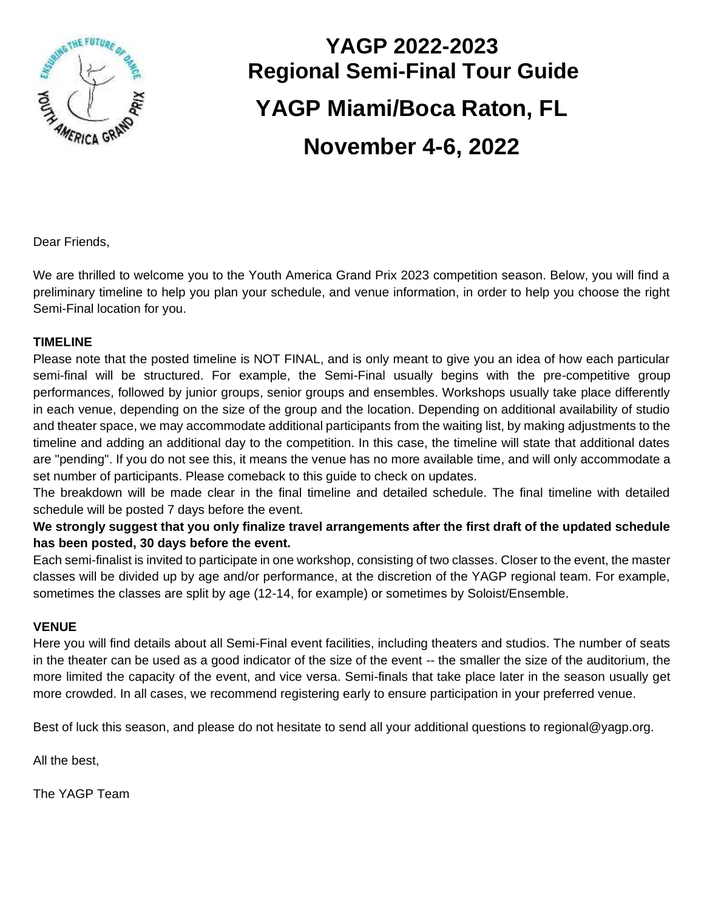

# **YAGP 2022-2023 Regional Semi-Final Tour Guide YAGP Miami/Boca Raton, FL November 4-6, 2022**

Dear Friends,

We are thrilled to welcome you to the Youth America Grand Prix 2023 competition season. Below, you will find a preliminary timeline to help you plan your schedule, and venue information, in order to help you choose the right Semi-Final location for you.

#### **TIMELINE**

Please note that the posted timeline is NOT FINAL, and is only meant to give you an idea of how each particular semi-final will be structured. For example, the Semi-Final usually begins with the pre-competitive group performances, followed by junior groups, senior groups and ensembles. Workshops usually take place differently in each venue, depending on the size of the group and the location. Depending on additional availability of studio and theater space, we may accommodate additional participants from the waiting list, by making adjustments to the timeline and adding an additional day to the competition. In this case, the timeline will state that additional dates are "pending". If you do not see this, it means the venue has no more available time, and will only accommodate a set number of participants. Please comeback to this guide to check on updates.

The breakdown will be made clear in the final timeline and detailed schedule. The final timeline with detailed schedule will be posted 7 days before the event.

**We strongly suggest that you only finalize travel arrangements after the first draft of the updated schedule has been posted, 30 days before the event.** 

Each semi-finalist is invited to participate in one workshop, consisting of two classes. Closer to the event, the master classes will be divided up by age and/or performance, at the discretion of the YAGP regional team. For example, sometimes the classes are split by age (12-14, for example) or sometimes by Soloist/Ensemble.

#### **VENUE**

Here you will find details about all Semi-Final event facilities, including theaters and studios. The number of seats in the theater can be used as a good indicator of the size of the event -- the smaller the size of the auditorium, the more limited the capacity of the event, and vice versa. Semi-finals that take place later in the season usually get more crowded. In all cases, we recommend registering early to ensure participation in your preferred venue.

Best of luck this season, and please do not hesitate to send all your additional questions to regional@yagp.org.

All the best,

The YAGP Team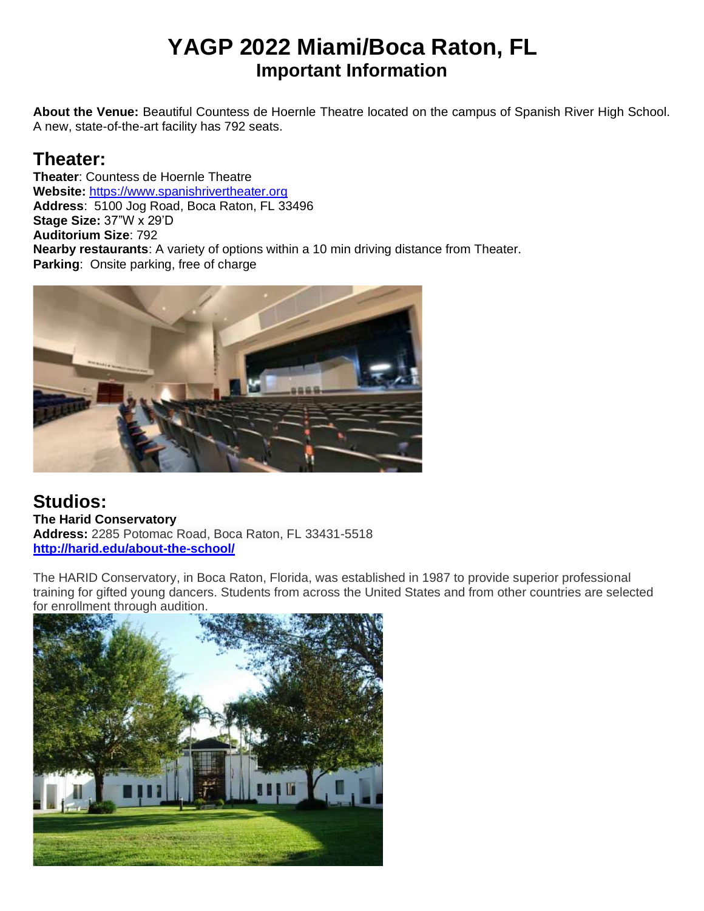# **YAGP 2022 Miami/Boca Raton, FL Important Information**

**About the Venue:** Beautiful Countess de Hoernle Theatre located on the campus of Spanish River High School. A new, state-of-the-art facility has 792 seats.

# **Theater:**

**Theater**: Countess de Hoernle Theatre **Website:** [https://www.spanishrivertheater.org](https://www.spanishrivertheater.org/) **Address**: 5100 Jog Road, Boca Raton, FL 33496 **Stage Size:** 37"W x 29'D **Auditorium Size**: 792 **Nearby restaurants**: A variety of options within a 10 min driving distance from Theater. **Parking**: Onsite parking, free of charge



**Studios: The Harid Conservatory Address:** 2285 Potomac Road, Boca Raton, FL 33431-5518 **<http://harid.edu/about-the-school/>**

The HARID Conservatory, in Boca Raton, Florida, was established in 1987 to provide superior professional training for gifted young dancers. Students from across the United States and from other countries are selected for enrollment through audition.